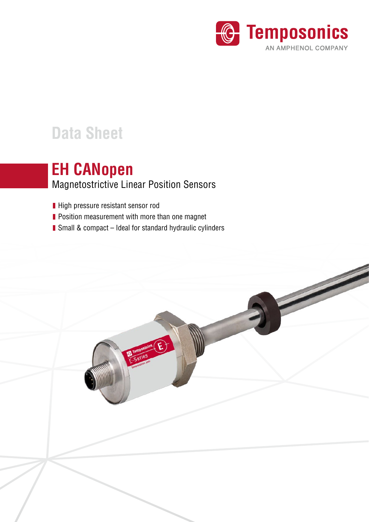

# **Data Sheet**

## Magnetostrictive Linear Position Sensors **EH CANopen**

- High pressure resistant sensor rod
- **Position measurement with more than one magnet**
- Small & compact Ideal for standard hydraulic cylinders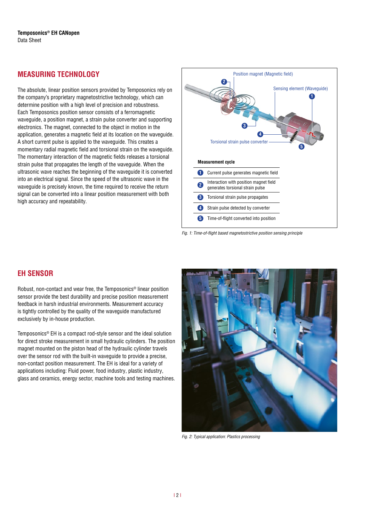## **MEASURING TECHNOLOGY**

The absolute, linear position sensors provided by Temposonics rely on the company's proprietary magnetostrictive technology, which can determine position with a high level of precision and robustness. Each Temposonics position sensor consists of a ferromagnetic waveguide, a position magnet, a strain pulse converter and supporting electronics. The magnet, connected to the object in motion in the application, generates a magnetic field at its location on the waveguide. A short current pulse is applied to the waveguide. This creates a momentary radial magnetic field and torsional strain on the waveguide. The momentary interaction of the magnetic fields releases a torsional strain pulse that propagates the length of the waveguide. When the ultrasonic wave reaches the beginning of the waveguide it is converted into an electrical signal. Since the speed of the ultrasonic wave in the waveguide is precisely known, the time required to receive the return signal can be converted into a linear position measurement with both high accuracy and repeatability.





### **EH SENSOR**

Robust, non-contact and wear free, the Temposonics® linear position sensor provide the best durability and precise position measurement feedback in harsh industrial environments. Measurement accuracy is tightly controlled by the quality of the waveguide manufactured exclusively by in-house production.

Temposonics® EH is a compact rod-style sensor and the ideal solution for direct stroke measurement in small hydraulic cylinders. The position magnet mounted on the piston head of the hydraulic cylinder travels over the sensor rod with the built-in waveguide to provide a precise, non-contact position measurement. The EH is ideal for a variety of applications including: Fluid power, food industry, plastic industry, glass and ceramics, energy sector, machine tools and testing machines.



*Fig. 2:* Typical application: Plastics processing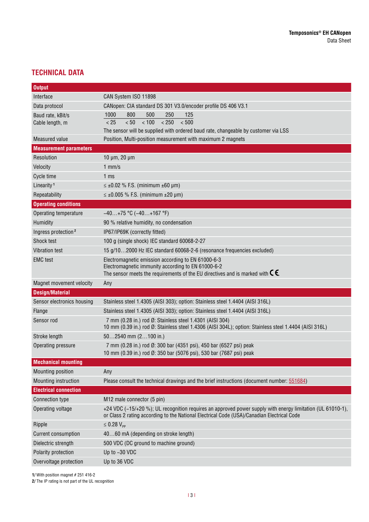## **TECHNICAL DATA**

| <b>Output</b>                   |                                                                                                                                                                                                          |  |  |
|---------------------------------|----------------------------------------------------------------------------------------------------------------------------------------------------------------------------------------------------------|--|--|
| Interface                       | CAN System ISO 11898                                                                                                                                                                                     |  |  |
| Data protocol                   | CANopen: CIA standard DS 301 V3.0/encoder profile DS 406 V3.1                                                                                                                                            |  |  |
| Baud rate, kBit/s               | 800<br>500<br>250<br>1000<br>125                                                                                                                                                                         |  |  |
| Cable length, m                 | < 50<br>< 100<br>< 250<br>< 500<br>< 25                                                                                                                                                                  |  |  |
|                                 | The sensor will be supplied with ordered baud rate, changeable by customer via LSS                                                                                                                       |  |  |
| <b>Measured value</b>           | Position, Multi-position measurement with maximum 2 magnets                                                                                                                                              |  |  |
| <b>Measurement parameters</b>   |                                                                                                                                                                                                          |  |  |
| Resolution                      | $10 \mu m$ , $20 \mu m$                                                                                                                                                                                  |  |  |
| Velocity                        | $1$ mm/s                                                                                                                                                                                                 |  |  |
| Cycle time                      | 1 <sub>ms</sub>                                                                                                                                                                                          |  |  |
| Linearity <sup>1</sup>          | $\leq \pm 0.02$ % F.S. (minimum $\pm 60$ µm)                                                                                                                                                             |  |  |
| Repeatability                   | $\leq \pm 0.005$ % F.S. (minimum $\pm 20$ µm)                                                                                                                                                            |  |  |
| <b>Operating conditions</b>     |                                                                                                                                                                                                          |  |  |
| Operating temperature           | $-40+75$ °C ( $-40+167$ °F)                                                                                                                                                                              |  |  |
| Humidity                        | 90 % relative humidity, no condensation                                                                                                                                                                  |  |  |
| Ingress protection <sup>2</sup> | IP67/IP69K (correctly fitted)                                                                                                                                                                            |  |  |
| Shock test                      | 100 g (single shock) IEC standard 60068-2-27                                                                                                                                                             |  |  |
| Vibration test                  | 15 g/102000 Hz IEC standard 60068-2-6 (resonance frequencies excluded)                                                                                                                                   |  |  |
| <b>EMC</b> test                 | Electromagnetic emission according to EN 61000-6-3                                                                                                                                                       |  |  |
|                                 | Electromagnetic immunity according to EN 61000-6-2<br>The sensor meets the requirements of the EU directives and is marked with $\epsilon$ .                                                             |  |  |
| Magnet movement velocity        | Any                                                                                                                                                                                                      |  |  |
| <b>Design/Material</b>          |                                                                                                                                                                                                          |  |  |
| Sensor electronics housing      | Stainless steel 1.4305 (AISI 303); option: Stainless steel 1.4404 (AISI 316L)                                                                                                                            |  |  |
| Flange                          | Stainless steel 1.4305 (AISI 303); option: Stainless steel 1.4404 (AISI 316L)                                                                                                                            |  |  |
| Sensor rod                      | 7 mm (0.28 in.) rod Ø: Stainless steel 1.4301 (AISI 304)                                                                                                                                                 |  |  |
|                                 | 10 mm (0.39 in.) rod Ø: Stainless steel 1.4306 (AISI 304L); option: Stainless steel 1.4404 (AISI 316L)                                                                                                   |  |  |
| Stroke length                   | $502540$ mm $(2100$ in.)                                                                                                                                                                                 |  |  |
| Operating pressure              | 7 mm (0.28 in.) rod Ø: 300 bar (4351 psi), 450 bar (6527 psi) peak                                                                                                                                       |  |  |
|                                 | 10 mm (0.39 in.) rod Ø: 350 bar (5076 psi), 530 bar (7687 psi) peak                                                                                                                                      |  |  |
| <b>Mechanical mounting</b>      |                                                                                                                                                                                                          |  |  |
| Mounting position               | Any                                                                                                                                                                                                      |  |  |
| Mounting instruction            | Please consult the technical drawings and the brief instructions (document number: 551684)                                                                                                               |  |  |
| <b>Electrical connection</b>    |                                                                                                                                                                                                          |  |  |
| Connection type                 | M12 male connector (5 pin)                                                                                                                                                                               |  |  |
| Operating voltage               | +24 VDC (-15/+20 %); UL recognition requires an approved power supply with energy limitation (UL 61010-1),<br>or Class 2 rating according to the National Electrical Code (USA)/Canadian Electrical Code |  |  |
| Ripple                          | $\leq 0.28 V_{\text{pp}}$                                                                                                                                                                                |  |  |
| <b>Current consumption</b>      | 4060 mA (depending on stroke length)                                                                                                                                                                     |  |  |
| Dielectric strength             | 500 VDC (DC ground to machine ground)                                                                                                                                                                    |  |  |
| Polarity protection             | Up to -30 VDC                                                                                                                                                                                            |  |  |
| Overvoltage protection          | Up to 36 VDC                                                                                                                                                                                             |  |  |

**1/** With position magnet # 251 416-2

**2/** The IP rating is not part of the UL recognition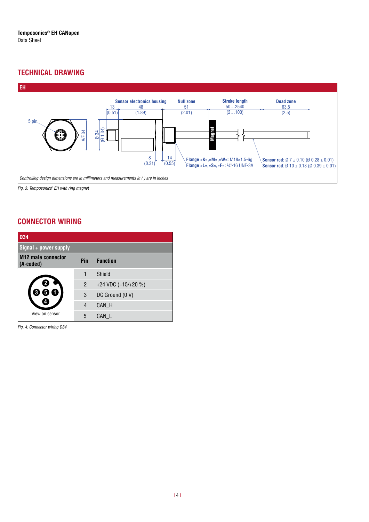## **TECHNICAL DRAWING**



**PUR cable:** 24.3 (0.96) Fig. 3: Temposonics<sup>®</sup> EH with ring magnet

## **CONNECTOR WIRING**

| <b>D34</b>                             |                |                     |  |  |
|----------------------------------------|----------------|---------------------|--|--|
| Signal + power supply                  |                |                     |  |  |
| <b>M12 male connector</b><br>(A-coded) | Pin            | <b>Function</b>     |  |  |
|                                        | 1              | Shield              |  |  |
|                                        | $\overline{2}$ | +24 VDC (-15/+20 %) |  |  |
|                                        | 3              | DC Ground (0 V)     |  |  |
|                                        | 4              | CAN_H               |  |  |
| View on sensor                         | 5              | CAN L               |  |  |

*Fig. 4:* Connector wiring D34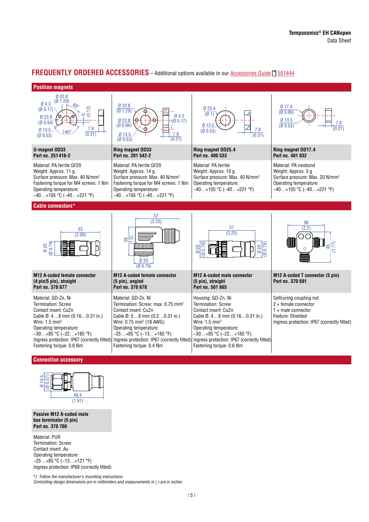#### **FREQUENTLY ORDERED ACCESSORIES** – Additional options available in our [Accessories Guide](https://www.temposonics.com/Products/IndustrialPositionSensors/AccessoriesforindustrialSensors/Catalog) [7] 551444

#### **Position magnets**



#### **Connection accessory**



**Passive M12 A-coded male bus terminator (5 pin) Part no. 370 700**

Material: PUR Termination: Screw Contact insert: Au Operating temperature: −25…+85 °C (−13…+121 °F) Ingress protection: IP68 (correctly fitted)

**\*/** Follow the manufacturer's mounting instructions Controlling design dimensions are in millimeters and measurements in ( ) are in inches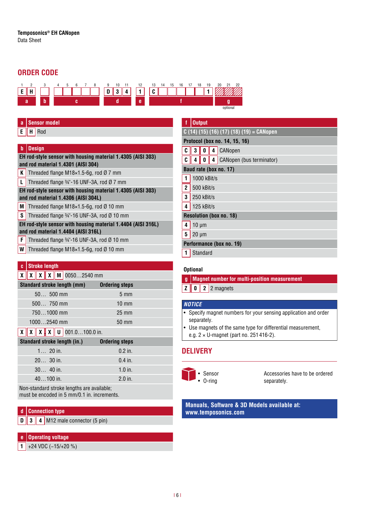## **ORDER CODE**



### **a Sensor model**

**E H** Rod

#### **b Design**

#### **EH rod-style sensor with housing material 1.4305 (AISI 303) and rod material 1.4301 (AISI 304)**

- **K** Threaded flange M18 $\times$ 1.5-6g, rod Ø 7 mm
- **L** Threaded flange  $\frac{3}{4}$  -16 UNF-3A, rod Ø 7 mm
- **EH rod-style sensor with housing material 1.4305 (AISI 303) and rod material 1.4306 (AISI 304L)**
- **M** Threaded flange M18 $\times$ 1.5-6g, rod Ø 10 mm
- **S** Threaded flange  $\frac{3}{4}$  -16 UNF-3A, rod Ø 10 mm

#### **EH rod-style sensor with housing material 1.4404 (AISI 316L) and rod material 1.4404 (AISI 316L)**

- **F** Threaded flange  $\frac{3}{4}$  -16 UNF-3A, rod Ø 10 mm
- **W** Threaded flange M18×1.5-6g, rod Ø 10 mm

#### **c Stroke length**

#### **X X X X M** 0050…2540 mm

| <b>Standard stroke length (mm)</b>                                                                                                                 | <b>Ordering steps</b> |
|----------------------------------------------------------------------------------------------------------------------------------------------------|-----------------------|
| $50$ 500 mm                                                                                                                                        | $5 \text{ mm}$        |
| $500$ 750 mm                                                                                                                                       | $10 \text{ mm}$       |
| 7501000 mm                                                                                                                                         | $25 \text{ mm}$       |
| 10002540 mm                                                                                                                                        | 50 mm                 |
| $\boxed{\mathbf{v}}$ $\boxed{\mathbf{v}}$ $\boxed{\mathbf{v}}$ $\boxed{\mathbf{v}}$ $\boxed{\mathbf{v}}$ $\boxed{\mathbf{u}}$ $\boxed{\text{001}}$ | $1000$ in             |

#### **X X X X U** 001.0…100.0 in. **.**

| Standard stroke length (in.) | <b>Ordering steps</b> |
|------------------------------|-----------------------|
| 1. 20 in.                    | $0.2$ in.             |
| $2030$ in.                   | $0.4$ in.             |
| $30$ 40 in.                  | $1.0$ in.             |
| $40100$ in.                  | $2.0$ in.             |

Non-standard stroke lengths are available; must be encoded in 5 mm/0.1 in. increments.

#### **d Connection type**

**D 3 4** M12 male connector (5 pin)

#### **e Operating voltage**

**1** +24 VDC (−15/+20 %)

| f                              |                                                  | <b>Output</b> |   |                          |  |  |
|--------------------------------|--------------------------------------------------|---------------|---|--------------------------|--|--|
|                                | $\overline{C(14)(15)(16)(17)(18)(19)} = CANopen$ |               |   |                          |  |  |
| Protocol (box no. 14, 15, 16)  |                                                  |               |   |                          |  |  |
| C                              | 3                                                | 0             | 4 | CANopen                  |  |  |
| C                              | 4                                                | 0             | 4 | CANopen (bus terminator) |  |  |
| Baud rate (box no. 17)         |                                                  |               |   |                          |  |  |
| 1                              | 1000 kBit/s                                      |               |   |                          |  |  |
| $\overline{2}$                 | 500 kBit/s                                       |               |   |                          |  |  |
| $\overline{\mathbf{3}}$        | 250 kBit/s                                       |               |   |                          |  |  |
| $\overline{\mathbf{4}}$        | 125 kBit/s                                       |               |   |                          |  |  |
| <b>Resolution (box no. 18)</b> |                                                  |               |   |                          |  |  |
| $\pmb{4}$                      | $10 \mu m$                                       |               |   |                          |  |  |
| $\overline{5}$                 | $20 \mu m$                                       |               |   |                          |  |  |
| Performance (box no. 19)       |                                                  |               |   |                          |  |  |
| 1                              |                                                  | Standard      |   |                          |  |  |

#### **Optional**

- **g Magnet number for multi-position measurement**
- **Z 0 2** 2 magnets

#### *NOTICE*

- Specify magnet numbers for your sensing application and order separately.
- Use magnets of the same type for differential measurement, e.g. 2 × U-magnet (part no. 251 416-2).

## **DELIVERY**



Accessories have to be ordered separately.

**Manuals, Software & 3D Models available at: www.temposonics.com**